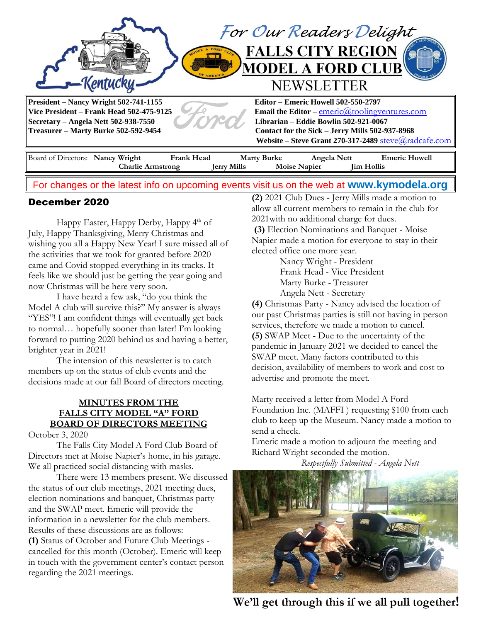

# For changes or the latest info on upcoming events visit us on the web at **[www.kymodela.org](http://www.kymodela.org/)**

## December 2020

Happy Easter, Happy Derby, Happy  $4<sup>th</sup>$  of July, Happy Thanksgiving, Merry Christmas and wishing you all a Happy New Year! I sure missed all of the activities that we took for granted before 2020 came and Covid stopped everything in its tracks. It feels like we should just be getting the year going and now Christmas will be here very soon.

I have heard a few ask, "do you think the Model A club will survive this?" My answer is always "YES"! I am confident things will eventually get back to normal… hopefully sooner than later! I'm looking forward to putting 2020 behind us and having a better, brighter year in 2021!

The intension of this newsletter is to catch members up on the status of club events and the decisions made at our fall Board of directors meeting.

## **MINUTES FROM THE FALLS CITY MODEL "A" FORD BOARD OF DIRECTORS MEETING**

October 3, 2020

The Falls City Model A Ford Club Board of Directors met at Moise Napier's home, in his garage. We all practiced social distancing with masks.

There were 13 members present. We discussed the status of our club meetings, 2021 meeting dues, election nominations and banquet, Christmas party and the SWAP meet. Emeric will provide the information in a newsletter for the club members. Results of these discussions are as follows: **(1)** Status of October and Future Club Meetings cancelled for this month (October). Emeric will keep in touch with the government center's contact person regarding the 2021 meetings.

**(2)** 2021 Club Dues - Jerry Mills made a motion to allow all current members to remain in the club for 2021with no additional charge for dues.

**(3)** Election Nominations and Banquet - Moise Napier made a motion for everyone to stay in their elected office one more year.

> Nancy Wright - President Frank Head - Vice President Marty Burke - Treasurer Angela Nett - Secretary

**(4)** Christmas Party - Nancy advised the location of our past Christmas parties is still not having in person services, therefore we made a motion to cancel. **(5)** SWAP Meet - Due to the uncertainty of the pandemic in January 2021 we decided to cancel the SWAP meet. Many factors contributed to this decision, availability of members to work and cost to advertise and promote the meet.

Marty received a letter from Model A Ford Foundation Inc. (MAFFI ) requesting \$100 from each club to keep up the Museum. Nancy made a motion to send a check.

Emeric made a motion to adjourn the meeting and Richard Wright seconded the motion.

 *Respectfully Submitted - Angela Nett*



We'll get through this if we all pull together!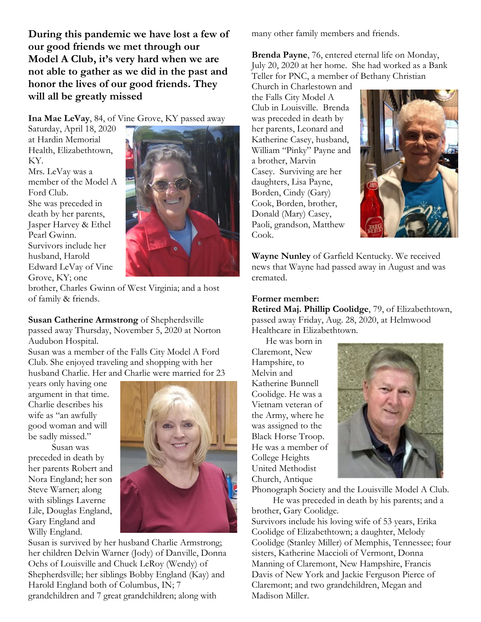**During this pandemic we have lost a few of our good friends we met through our Model A Club, it's very hard when we are not able to gather as we did in the past and honor the lives of our good friends. They will all be greatly missed**

**Ina Mae LeVay**, 84, of Vine Grove, KY passed away

Saturday, April 18, 2020 at Hardin Memorial Health, Elizabethtown, KY. Mrs. LeVay was a

member of the Model A Ford Club. She was preceded in death by her parents, Jasper Harvey & Ethel Pearl Gwinn. Survivors include her husband, Harold Edward LeVay of Vine Grove, KY; one



brother, Charles Gwinn of West Virginia; and a host of family & friends.

**Susan Catherine Armstrong** of Shepherdsville passed away Thursday, November 5, 2020 at Norton Audubon Hospital.

Susan was a member of the Falls City Model A Ford Club. She enjoyed traveling and shopping with her husband Charlie. Her and Charlie were married for 23

years only having one argument in that time. Charlie describes his wife as "an awfully good woman and will be sadly missed."

 Susan was preceded in death by her parents Robert and Nora England; her son Steve Warner; along with siblings Laverne Lile, Douglas England, Gary England and Willy England.



Susan is survived by her husband Charlie Armstrong; her children Delvin Warner (Jody) of Danville, Donna Ochs of Louisville and Chuck LeRoy (Wendy) of Shepherdsville; her siblings Bobby England (Kay) and Harold England both of Columbus, IN; 7 grandchildren and 7 great grandchildren; along with

many other family members and friends.

**Brenda Payne**, 76, entered eternal life on Monday, July 20, 2020 at her home. She had worked as a Bank Teller for PNC, a member of Bethany Christian

Church in Charlestown and the Falls City Model A Club in Louisville. Brenda was preceded in death by her parents, Leonard and Katherine Casey, husband, William "Pinky" Payne and a brother, Marvin Casey. Surviving are her daughters, Lisa Payne, Borden, Cindy (Gary) Cook, Borden, brother, Donald (Mary) Casey, Paoli, grandson, Matthew Cook.



**Wayne Nunley** of Garfield Kentucky. We received news that Wayne had passed away in August and was cremated.

#### **Former member:**

**Retired Maj. Phillip Coolidge**, 79, of Elizabethtown, passed away Friday, Aug. 28, 2020, at Helmwood Healthcare in Elizabethtown.

 He was born in Claremont, New Hampshire, to Melvin and Katherine Bunnell Coolidge. He was a Vietnam veteran of the Army, where he was assigned to the Black Horse Troop. He was a member of College Heights United Methodist Church, Antique



Phonograph Society and the Louisville Model A Club. He was preceded in death by his parents; and a

brother, Gary Coolidge. Survivors include his loving wife of 53 years, Erika Coolidge of Elizabethtown; a daughter, Melody Coolidge (Stanley Miller) of Memphis, Tennessee; four sisters, Katherine Maccioli of Vermont, Donna Manning of Claremont, New Hampshire, Francis Davis of New York and Jackie Ferguson Pierce of Claremont; and two grandchildren, Megan and Madison Miller.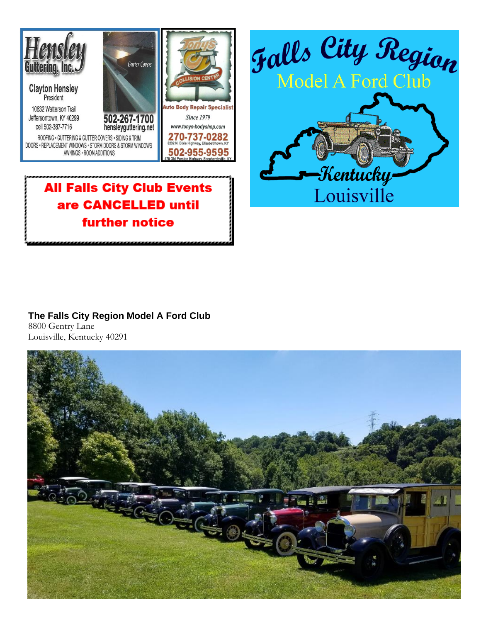



# **All Falls City Club Events** are CANCELLED until **further notice**

### **The Falls City Region Model A Ford Club** 8800 Gentry Lane Louisville, Kentucky 40291